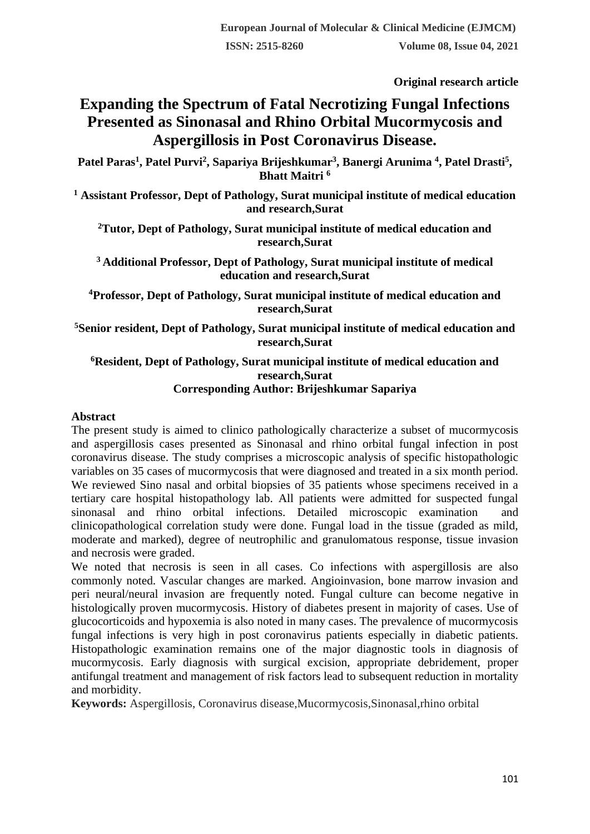**Original research article** 

# **Expanding the Spectrum of Fatal Necrotizing Fungal Infections Presented as Sinonasal and Rhino Orbital Mucormycosis and Aspergillosis in Post Coronavirus Disease.**

**Patel Paras<sup>1</sup> , Patel Purvi<sup>2</sup> , Sapariya Brijeshkumar<sup>3</sup> , Banergi Arunima <sup>4</sup> , Patel Drasti<sup>5</sup> , Bhatt Maitri <sup>6</sup>**

**<sup>1</sup> Assistant Professor, Dept of Pathology, Surat municipal institute of medical education and research,Surat**

**<sup>2</sup>Tutor, Dept of Pathology, Surat municipal institute of medical education and research,Surat**

**<sup>3</sup>Additional Professor, Dept of Pathology, Surat municipal institute of medical education and research,Surat**

**<sup>4</sup>Professor, Dept of Pathology, Surat municipal institute of medical education and research,Surat**

**<sup>5</sup>Senior resident, Dept of Pathology, Surat municipal institute of medical education and research,Surat**

#### **<sup>6</sup>Resident, Dept of Pathology, Surat municipal institute of medical education and research,Surat Corresponding Author: Brijeshkumar Sapariya**

## **Abstract**

The present study is aimed to clinico pathologically characterize a subset of mucormycosis and aspergillosis cases presented as Sinonasal and rhino orbital fungal infection in post coronavirus disease. The study comprises a microscopic analysis of specific histopathologic variables on 35 cases of mucormycosis that were diagnosed and treated in a six month period. We reviewed Sino nasal and orbital biopsies of 35 patients whose specimens received in a tertiary care hospital histopathology lab. All patients were admitted for suspected fungal sinonasal and rhino orbital infections. Detailed microscopic examination and clinicopathological correlation study were done. Fungal load in the tissue (graded as mild, moderate and marked), degree of neutrophilic and granulomatous response, tissue invasion and necrosis were graded.

We noted that necrosis is seen in all cases. Co infections with aspergillosis are also commonly noted. Vascular changes are marked. Angioinvasion, bone marrow invasion and peri neural/neural invasion are frequently noted. Fungal culture can become negative in histologically proven mucormycosis. History of diabetes present in majority of cases. Use of glucocorticoids and hypoxemia is also noted in many cases. The prevalence of mucormycosis fungal infections is very high in post coronavirus patients especially in diabetic patients. Histopathologic examination remains one of the major diagnostic tools in diagnosis of mucormycosis. Early diagnosis with surgical excision, appropriate debridement, proper antifungal treatment and management of risk factors lead to subsequent reduction in mortality and morbidity.

**Keywords:** Aspergillosis, Coronavirus disease,Mucormycosis,Sinonasal,rhino orbital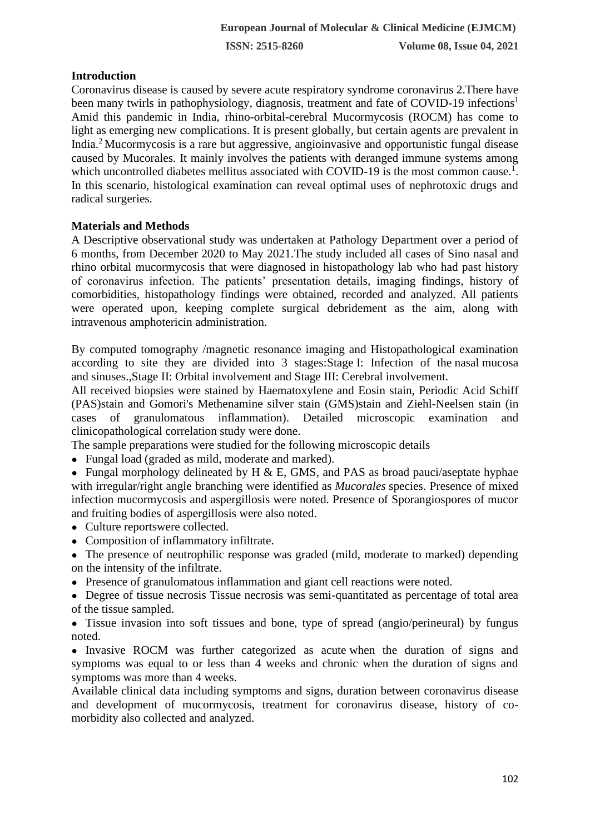# **Introduction**

Coronavirus disease is caused by severe acute respiratory syndrome coronavirus 2.There have been many twirls in pathophysiology, diagnosis, treatment and fate of COVID-19 infections<sup>1</sup> Amid this pandemic in India, rhino-orbital-cerebral Mucormycosis (ROCM) has come to light as emerging new complications. It is present globally, but certain agents are prevalent in India.<sup>2</sup>Mucormycosis is a rare but aggressive, angioinvasive and opportunistic fungal disease caused by Mucorales. It mainly involves the patients with deranged immune systems among which uncontrolled diabetes mellitus associated with COVID-19 is the most common cause.<sup>1</sup>. In this scenario, histological examination can reveal optimal uses of nephrotoxic drugs and radical surgeries.

# **Materials and Methods**

A Descriptive observational study was undertaken at Pathology Department over a period of 6 months, from December 2020 to May 2021.The study included all cases of Sino nasal and rhino orbital mucormycosis that were diagnosed in histopathology lab who had past history of coronavirus infection. The patients' presentation details, imaging findings, history of comorbidities, histopathology findings were obtained, recorded and analyzed. All patients were operated upon, keeping complete surgical debridement as the aim, along with intravenous amphotericin administration.

By computed tomography /magnetic resonance imaging and Histopathological examination according to site they are divided into 3 stages:Stage I: Infection of the nasal mucosa and sinuses.,Stage II: Orbital involvement and Stage III: Cerebral involvement.

All received biopsies were stained by Haematoxylene and Eosin stain, Periodic Acid Schiff (PAS)stain and Gomori's Methenamine silver stain (GMS)stain and Ziehl-Neelsen stain (in cases of granulomatous inflammation). Detailed microscopic examination and clinicopathological correlation study were done.

The sample preparations were studied for the following microscopic details

• Fungal load (graded as mild, moderate and marked).

• Fungal morphology delineated by H & E, GMS, and PAS as broad pauci/aseptate hyphae with irregular/right angle branching were identified as *Mucorales* species. Presence of mixed infection mucormycosis and aspergillosis were noted. Presence of Sporangiospores of mucor and fruiting bodies of aspergillosis were also noted.

- Culture reportswere collected.
- Composition of inflammatory infiltrate.

• The presence of neutrophilic response was graded (mild, moderate to marked) depending on the intensity of the infiltrate.

• Presence of granulomatous inflammation and giant cell reactions were noted.

• Degree of tissue necrosis Tissue necrosis was semi-quantitated as percentage of total area of the tissue sampled.

• Tissue invasion into soft tissues and bone, type of spread (angio/perineural) by fungus noted.

• Invasive ROCM was further categorized as acute when the duration of signs and symptoms was equal to or less than 4 weeks and chronic when the duration of signs and symptoms was more than 4 weeks.

Available clinical data including symptoms and signs, duration between coronavirus disease and development of mucormycosis, treatment for coronavirus disease, history of comorbidity also collected and analyzed.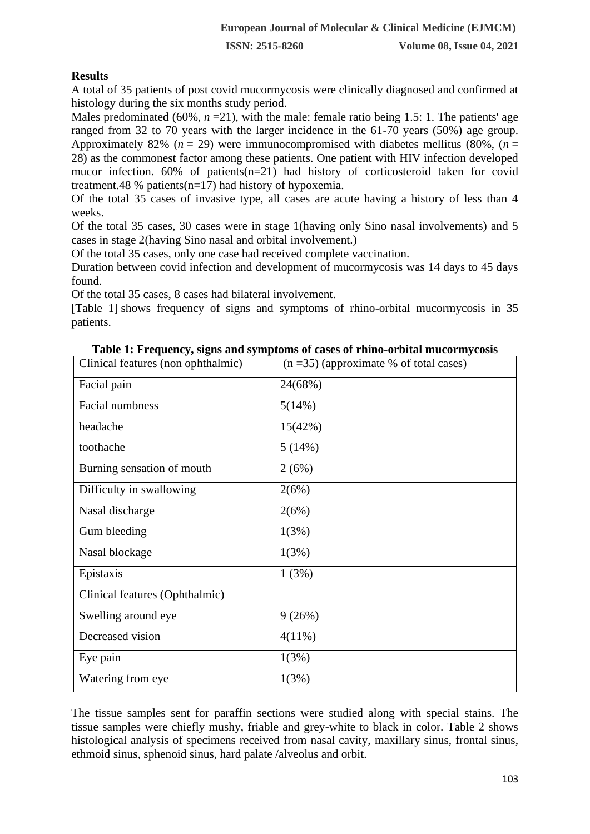### **Results**

A total of 35 patients of post covid mucormycosis were clinically diagnosed and confirmed at histology during the six months study period.

Males predominated (60%,  $n = 21$ ), with the male: female ratio being 1.5: 1. The patients' age ranged from 32 to 70 years with the larger incidence in the 61-70 years (50%) age group. Approximately 82% ( $n = 29$ ) were immunocompromised with diabetes mellitus (80%, ( $n =$ 28) as the commonest factor among these patients. One patient with HIV infection developed mucor infection. 60% of patients(n=21) had history of corticosteroid taken for covid treatment.48 % patients( $n=17$ ) had history of hypoxemia.

Of the total 35 cases of invasive type, all cases are acute having a history of less than 4 weeks.

Of the total 35 cases, 30 cases were in stage 1(having only Sino nasal involvements) and 5 cases in stage 2(having Sino nasal and orbital involvement.)

Of the total 35 cases, only one case had received complete vaccination.

Duration between covid infection and development of mucormycosis was 14 days to 45 days found.

Of the total 35 cases, 8 cases had bilateral involvement.

[\[Table 1\]](https://www.ijpmonline.org/viewimage.asp?img=IndianJPatholMicrobiol_2010_53_2_253_64342_b1.jpg) shows frequency of signs and symptoms of rhino-orbital mucormycosis in 35 patients.

| Clinical features (non ophthalmic) | $(n=35)$ (approximate % of total cases) |
|------------------------------------|-----------------------------------------|
| Facial pain                        | 24(68%)                                 |
| <b>Facial numbness</b>             | 5(14%)                                  |
| headache                           | 15(42%)                                 |
| toothache                          | 5(14%)                                  |
| Burning sensation of mouth         | 2(6%)                                   |
| Difficulty in swallowing           | 2(6%)                                   |
| Nasal discharge                    | 2(6%)                                   |
| Gum bleeding                       | 1(3%)                                   |
| Nasal blockage                     | 1(3%)                                   |
| Epistaxis                          | 1(3%)                                   |
| Clinical features (Ophthalmic)     |                                         |
| Swelling around eye                | 9(26%)                                  |
| Decreased vision                   | $4(11\%)$                               |
| Eye pain                           | 1(3%)                                   |
| Watering from eye                  | 1(3%)                                   |

**Table 1: Frequency, signs and symptoms of cases of rhino-orbital mucormycosis**

The tissue samples sent for paraffin sections were studied along with special stains. The tissue samples were chiefly mushy, friable and grey-white to black in color. Table 2 shows histological analysis of specimens received from nasal cavity, maxillary sinus, frontal sinus, ethmoid sinus, sphenoid sinus, hard palate /alveolus and orbit.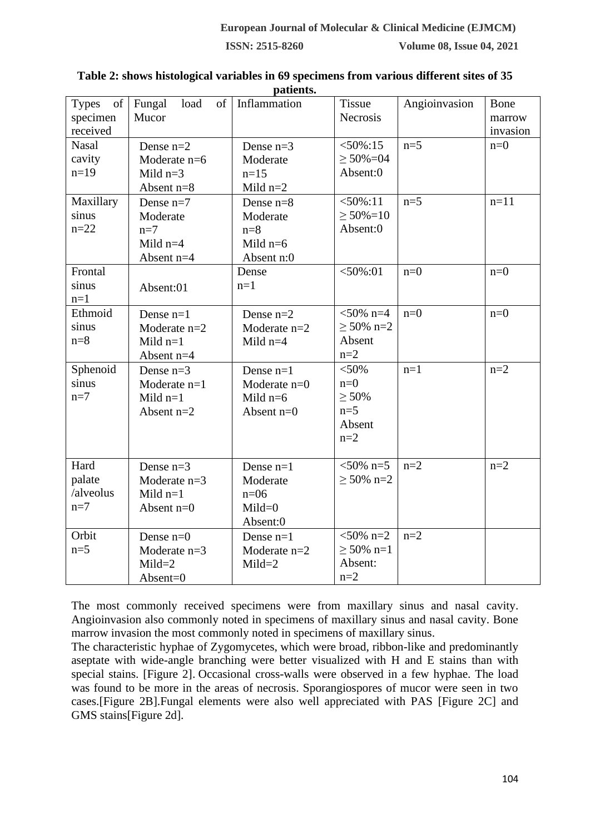|                                                                                                                    |                      | раиспь.        |                  |               |          |
|--------------------------------------------------------------------------------------------------------------------|----------------------|----------------|------------------|---------------|----------|
| $% \left( \left( \mathcal{A},\mathcal{A}\right) \right) =\left( \mathcal{A},\mathcal{A}\right)$ of<br><b>Types</b> | Fungal<br>load<br>of | Inflammation   | <b>Tissue</b>    | Angioinvasion | Bone     |
| specimen                                                                                                           | Mucor                |                | Necrosis         |               | marrow   |
| received                                                                                                           |                      |                |                  |               | invasion |
| <b>Nasal</b>                                                                                                       | Dense $n=2$          | Dense $n=3$    | $< 50\% : 15$    | $n=5$         | $n=0$    |
| cavity                                                                                                             | Moderate n=6         | Moderate       | $\geq 50\% = 04$ |               |          |
| $n=19$                                                                                                             | Mild $n=3$           | $n=15$         | Absent:0         |               |          |
|                                                                                                                    | Absent n=8           | Mild $n=2$     |                  |               |          |
| Maxillary                                                                                                          | Dense $n=7$          | Dense $n=8$    | $<$ 50%:11       | $n=5$         | $n=11$   |
| sinus                                                                                                              | Moderate             | Moderate       | $\geq 50\% = 10$ |               |          |
| $n = 22$                                                                                                           | $n=7$                | $n=8$          | Absent:0         |               |          |
|                                                                                                                    | Mild $n=4$           | Mild $n=6$     |                  |               |          |
|                                                                                                                    | Absent n=4           | Absent n:0     |                  |               |          |
| Frontal                                                                                                            |                      | Dense          | $<$ 50%:01       | $n=0$         | $n=0$    |
| sinus                                                                                                              | Absent:01            | $n=1$          |                  |               |          |
| $n=1$                                                                                                              |                      |                |                  |               |          |
| Ethmoid                                                                                                            | Dense $n=1$          | Dense $n=2$    | $<$ 50% n=4      | $n=0$         | $n=0$    |
| sinus                                                                                                              | Moderate $n=2$       | Moderate $n=2$ | $\geq 50\%$ n=2  |               |          |
| $n=8$                                                                                                              | Mild $n=1$           | Mild $n=4$     | Absent           |               |          |
|                                                                                                                    | Absent $n=4$         |                | $n=2$            |               |          |
| Sphenoid                                                                                                           | Dense $n=3$          | Dense $n=1$    | $< 50\%$         | $n=1$         | $n=2$    |
| sinus                                                                                                              | Moderate $n=1$       | Moderate n=0   | $n=0$            |               |          |
| $n=7$                                                                                                              | Mild $n=1$           | Mild $n=6$     | $\geq 50\%$      |               |          |
|                                                                                                                    | Absent $n=2$         | Absent $n=0$   | $n=5$            |               |          |
|                                                                                                                    |                      |                | Absent           |               |          |
|                                                                                                                    |                      |                | $n=2$            |               |          |
|                                                                                                                    |                      |                |                  |               |          |
| Hard                                                                                                               | Dense $n=3$          | Dense $n=1$    | $<50\%$ n=5      | $n=2$         | $n=2$    |
| palate                                                                                                             | Moderate $n=3$       | Moderate       | $\geq 50\%$ n=2  |               |          |
| /alveolus                                                                                                          | Mild $n=1$           | $n=06$         |                  |               |          |
| $n=7$                                                                                                              | Absent $n=0$         | $Mild=0$       |                  |               |          |
|                                                                                                                    |                      | Absent:0       |                  |               |          |
| Orbit                                                                                                              | Dense $n=0$          | Dense $n=1$    | $<50\%$ n=2      | $n=2$         |          |
| $n=5$                                                                                                              | Moderate $n=3$       | Moderate $n=2$ | $\geq 50\%$ n=1  |               |          |
|                                                                                                                    | $Mild = 2$           | $Mild = 2$     | Absent:          |               |          |
|                                                                                                                    | Absent=0             |                | $n=2$            |               |          |

#### **Table 2: shows histological variables in 69 specimens from various different sites of 35 patients.**

The most commonly received specimens were from maxillary sinus and nasal cavity. Angioinvasion also commonly noted in specimens of maxillary sinus and nasal cavity. Bone marrow invasion the most commonly noted in specimens of maxillary sinus.

The characteristic hyphae of Zygomycetes, which were broad, ribbon-like and predominantly aseptate with wide-angle branching were better visualized with H and E stains than with special stains. [\[Figure 2\].](https://www.ijpmonline.org/viewimage.asp?img=IndianJPatholMicrobiol_2010_53_2_253_64342_u3.jpg) Occasional cross-walls were observed in a few hyphae. The load was found to be more in the areas of necrosis. Sporangiospores of mucor were seen in two cases[.\[Figure 2B\].](https://www.ijpmonline.org/viewimage.asp?img=IndianJPatholMicrobiol_2010_53_2_253_64342_u3.jpg)Fungal elements were also well appreciated with PAS [\[Figure 2C\]](https://www.ijpmonline.org/viewimage.asp?img=IndianJPatholMicrobiol_2010_53_2_253_64342_u3.jpg) and GMS stain[s\[Figure 2d\].](https://www.ijpmonline.org/viewimage.asp?img=IndianJPatholMicrobiol_2010_53_2_253_64342_u3.jpg)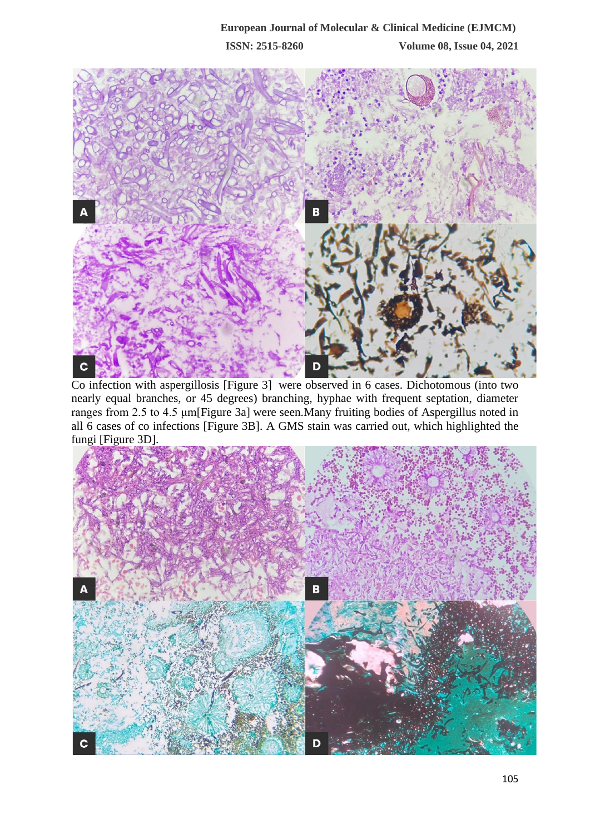

Co infection with aspergillosis [\[Figure 3\]](https://www.ijpmonline.org/viewimage.asp?img=IndianJPatholMicrobiol_2010_53_2_253_64342_u3.jpg) were observed in 6 cases. Dichotomous (into two nearly equal branches, or 45 degrees) branching, hyphae with frequent septation, diameter ranges from 2.5 to 4.5 μ[m\[Figure 3a\]](https://www.ijpmonline.org/viewimage.asp?img=IndianJPatholMicrobiol_2010_53_2_253_64342_u3.jpg) were seen.Many fruiting bodies of Aspergillus noted in all 6 cases of co infections [\[Figure 3B](https://www.ncbi.nlm.nih.gov/pmc/articles/PMC3841699/figure/F2/)]. A GMS stain was carried out, which highlighted the fungi [Figure 3D].

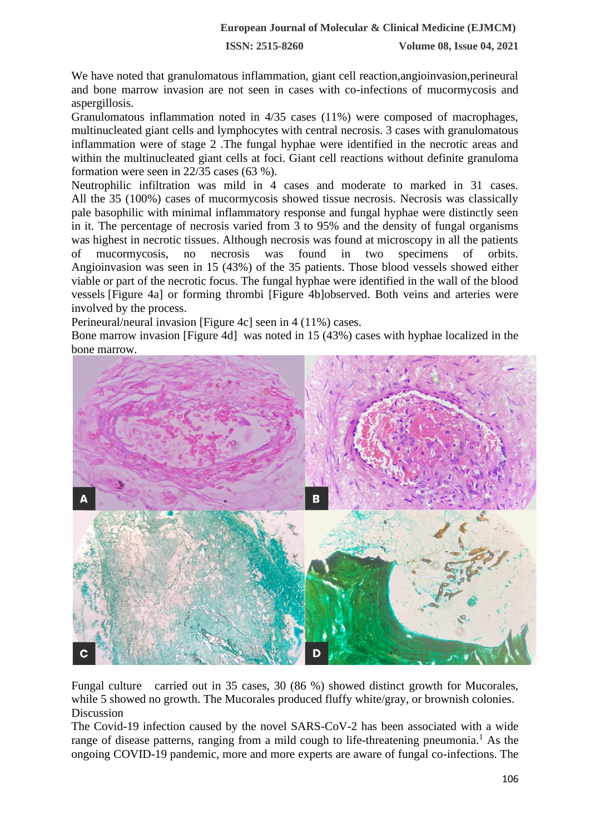We have noted that granulomatous inflammation, giant cell reaction,angioinvasion,perineural and bone marrow invasion are not seen in cases with co-infections of mucormycosis and aspergillosis.

Granulomatous inflammation noted in 4/35 cases (11%) were composed of macrophages, multinucleated giant cells and lymphocytes with central necrosis. 3 cases with granulomatous inflammation were of stage 2 .The fungal hyphae were identified in the necrotic areas and within the multinucleated giant cells at foci. Giant cell reactions without definite granuloma formation were seen in 22/35 cases (63 %).

Neutrophilic infiltration was mild in 4 cases and moderate to marked in 31 cases. All the 35 (100%) cases of mucormycosis showed tissue necrosis. Necrosis was classically pale basophilic with minimal inflammatory response and fungal hyphae were distinctly seen in it. The percentage of necrosis varied from 3 to 95% and the density of fungal organisms was highest in necrotic tissues. Although necrosis was found at microscopy in all the patients of mucormycosis, no necrosis was found in two specimens of orbits. Angioinvasion was seen in 15 (43%) of the 35 patients. Those blood vessels showed either viable or part of the necrotic focus. The fungal hyphae were identified in the wall of the blood vessels [\[Figure 4a\]](https://www.ijpmonline.org/viewimage.asp?img=IndianJPatholMicrobiol_2010_53_2_253_64342_u4.jpg) or forming thrombi [\[Figure 4b\]o](https://www.ijpmonline.org/viewimage.asp?img=IndianJPatholMicrobiol_2010_53_2_253_64342_u4.jpg)bserved. Both veins and arteries were involved by the process.

Perineural/neural invasion [\[Figure 4c\]](https://www.ijpmonline.org/viewimage.asp?img=IndianJPatholMicrobiol_2010_53_2_253_64342_u4.jpg) seen in 4 (11%) cases.

Bone marrow invasion [\[Figure 4d\]](https://www.ijpmonline.org/viewimage.asp?img=IndianJPatholMicrobiol_2010_53_2_253_64342_u4.jpg) was noted in 15 (43%) cases with hyphae localized in the bone marrow.



Fungal culture carried out in 35 cases, 30 (86 %) showed distinct growth for Mucorales, while 5 showed no growth. The Mucorales produced fluffy white/gray, or brownish colonies. Discussion

The Covid-19 infection caused by the novel SARS-CoV-2 has been associated with a wide range of disease patterns, ranging from a mild cough to life-threatening pneumonia.<sup>1</sup> As the ongoing COVID-19 pandemic, more and more experts are aware of fungal co-infections. The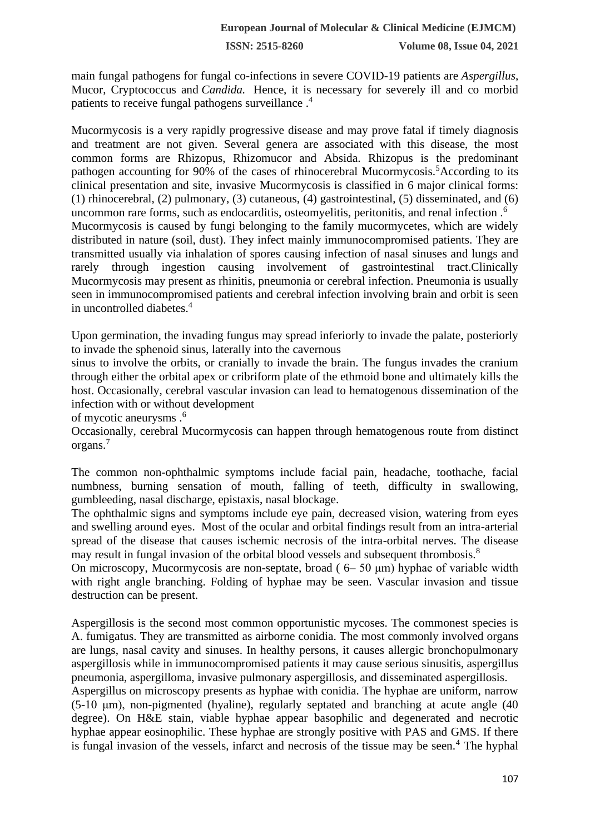main fungal pathogens for fungal co-infections in severe COVID-19 patients are *Aspergillus*, Mucor, Cryptococcus and *Candida.* Hence, it is necessary for severely ill and co morbid patients to receive fungal pathogens surveillance.<sup>4</sup>

Mucormycosis is a very rapidly progressive disease and may prove fatal if timely diagnosis and treatment are not given. Several genera are associated with this disease, the most common forms are Rhizopus, Rhizomucor and Absida. Rhizopus is the predominant pathogen accounting for 90% of the cases of rhinocerebral Mucormycosis.<sup>5</sup>According to its clinical presentation and site, invasive Mucormycosis is classified in 6 major clinical forms: (1) rhinocerebral, (2) pulmonary, (3) cutaneous, (4) gastrointestinal, (5) disseminated, and (6) uncommon rare forms, such as endocarditis, osteomyelitis, peritonitis, and renal infection .<sup>6</sup> Mucormycosis is caused by fungi belonging to the family mucormycetes, which are widely distributed in nature (soil, dust). They infect mainly immunocompromised patients. They are transmitted usually via inhalation of spores causing infection of nasal sinuses and lungs and rarely through ingestion causing involvement of gastrointestinal tract.Clinically Mucormycosis may present as rhinitis, pneumonia or cerebral infection. Pneumonia is usually seen in immunocompromised patients and cerebral infection involving brain and orbit is seen in uncontrolled diabetes.<sup>4</sup>

Upon germination, the invading fungus may spread inferiorly to invade the palate, posteriorly to invade the sphenoid sinus, laterally into the cavernous

sinus to involve the orbits, or cranially to invade the brain. The fungus invades the cranium through either the orbital apex or cribriform plate of the ethmoid bone and ultimately kills the host. Occasionally, cerebral vascular invasion can lead to hematogenous dissemination of the infection with or without development

of mycotic aneurysms .<sup>6</sup>

Occasionally, cerebral Mucormycosis can happen through hematogenous route from distinct organs.<sup>7</sup>

The common non-ophthalmic symptoms include facial pain, headache, toothache, facial numbness, burning sensation of mouth, falling of teeth, difficulty in swallowing, gumbleeding, nasal discharge, epistaxis, nasal blockage.

The ophthalmic signs and symptoms include eye pain, decreased vision, watering from eyes and swelling around eyes. Most of the ocular and orbital findings result from an intra-arterial spread of the disease that causes ischemic necrosis of the intra-orbital nerves. The disease may result in fungal invasion of the orbital blood vessels and subsequent thrombosis.<sup>8</sup>

On microscopy, Mucormycosis are non-septate, broad ( 6– 50 μm) hyphae of variable width with right angle branching. Folding of hyphae may be seen. Vascular invasion and tissue destruction can be present.

Aspergillosis is the second most common opportunistic mycoses. The commonest species is A. fumigatus. They are transmitted as airborne conidia. The most commonly involved organs are lungs, nasal cavity and sinuses. In healthy persons, it causes allergic bronchopulmonary aspergillosis while in immunocompromised patients it may cause serious sinusitis, aspergillus pneumonia, aspergilloma, invasive pulmonary aspergillosis, and disseminated aspergillosis.

Aspergillus on microscopy presents as hyphae with conidia. The hyphae are uniform, narrow (5-10 μm), non-pigmented (hyaline), regularly septated and branching at acute angle (40 degree). On H&E stain, viable hyphae appear basophilic and degenerated and necrotic hyphae appear eosinophilic. These hyphae are strongly positive with PAS and GMS. If there is fungal invasion of the vessels, infarct and necrosis of the tissue may be seen.<sup>4</sup> The hyphal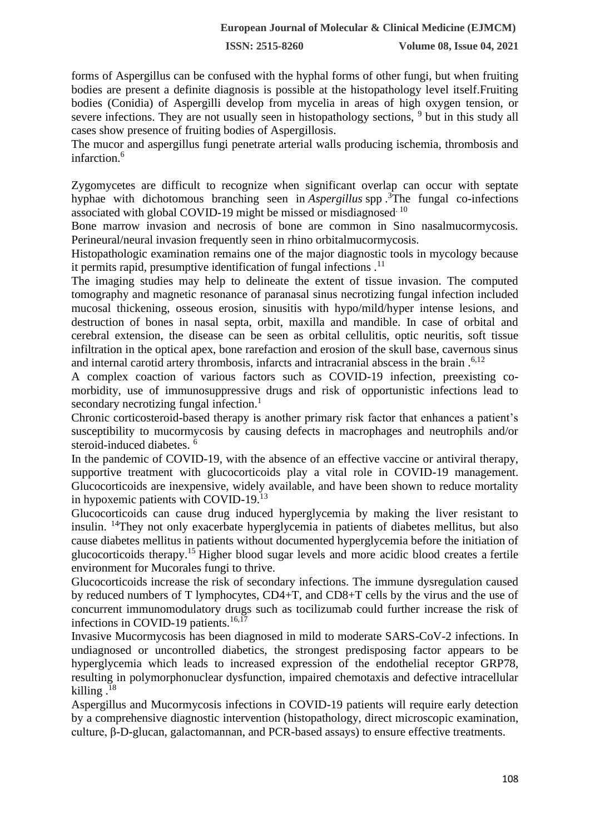forms of Aspergillus can be confused with the hyphal forms of other fungi, but when fruiting bodies are present a definite diagnosis is possible at the histopathology level itself.Fruiting bodies (Conidia) of Aspergilli develop from mycelia in areas of high oxygen tension, or severe infections. They are not usually seen in histopathology sections, <sup>9</sup> but in this study all cases show presence of fruiting bodies of Aspergillosis.

The mucor and aspergillus fungi penetrate arterial walls producing ischemia, thrombosis and infarction.<sup>6</sup>

Zygomycetes are difficult to recognize when significant overlap can occur with septate hyphae with dichotomous branching seen in *Aspergillus* spp . <sup>3</sup>The fungal co-infections associated with global COVID-19 might be missed or misdiagnosed. 10

Bone marrow invasion and necrosis of bone are common in Sino nasalmucormycosis. Perineural/neural invasion frequently seen in rhino orbitalmucormycosis.

Histopathologic examination remains one of the major diagnostic tools in mycology because it permits rapid, presumptive identification of fungal infections .<sup>11</sup>

The imaging studies may help to delineate the extent of tissue invasion. The computed tomography and magnetic resonance of paranasal sinus necrotizing fungal infection included mucosal thickening, osseous erosion, sinusitis with hypo/mild/hyper intense lesions, and destruction of bones in nasal septa, orbit, maxilla and mandible. In case of orbital and cerebral extension, the disease can be seen as orbital cellulitis, optic neuritis, soft tissue infiltration in the optical apex, bone rarefaction and erosion of the skull base, cavernous sinus and internal carotid artery thrombosis, infarcts and intracranial abscess in the brain . 6,12

A complex coaction of various factors such as COVID-19 infection, preexisting comorbidity, use of immunosuppressive drugs and risk of opportunistic infections lead to secondary necrotizing fungal infection.<sup>1</sup>

Chronic corticosteroid-based therapy is another primary risk factor that enhances a patient's susceptibility to mucormycosis by causing defects in macrophages and neutrophils and/or steroid-induced diabetes. <sup>6</sup>

In the pandemic of COVID-19, with the absence of an effective vaccine or antiviral therapy, supportive treatment with glucocorticoids play a vital role in COVID-19 management. Glucocorticoids are inexpensive, widely available, and have been shown to reduce mortality in hypoxemic patients with COVID-19.<sup>13</sup>

Glucocorticoids can cause drug induced hyperglycemia by making the liver resistant to insulin. <sup>14</sup>They not only exacerbate hyperglycemia in patients of diabetes mellitus, but also cause diabetes mellitus in patients without documented hyperglycemia before the initiation of glucocorticoids therapy.<sup>15</sup> Higher blood sugar levels and more acidic blood creates a fertile [environment](https://emedicine.medscape.com/article/227586-overview) for Mucorales fungi to thrive.

Glucocorticoids increase the risk of secondary infections. The immune dysregulation caused by reduced numbers of T lymphocytes, CD4+T, and CD8+T cells by the virus and the use of concurrent immunomodulatory drugs such as tocilizumab could further increase the risk of infections in COVID-19 patients.<sup>16,17</sup>

Invasive Mucormycosis has been diagnosed in mild to moderate SARS-CoV-2 infections. In undiagnosed or uncontrolled diabetics, the strongest predisposing factor appears to be hyperglycemia which leads to increased expression of the endothelial receptor GRP78, resulting in polymorphonuclear dysfunction, impaired chemotaxis and defective intracellular killing  $^{18}$ 

Aspergillus and Mucormycosis infections in COVID-19 patients will require early detection by a comprehensive diagnostic intervention (histopathology, direct microscopic examination, culture, β-D-glucan, galactomannan, and PCR-based assays) to ensure effective treatments.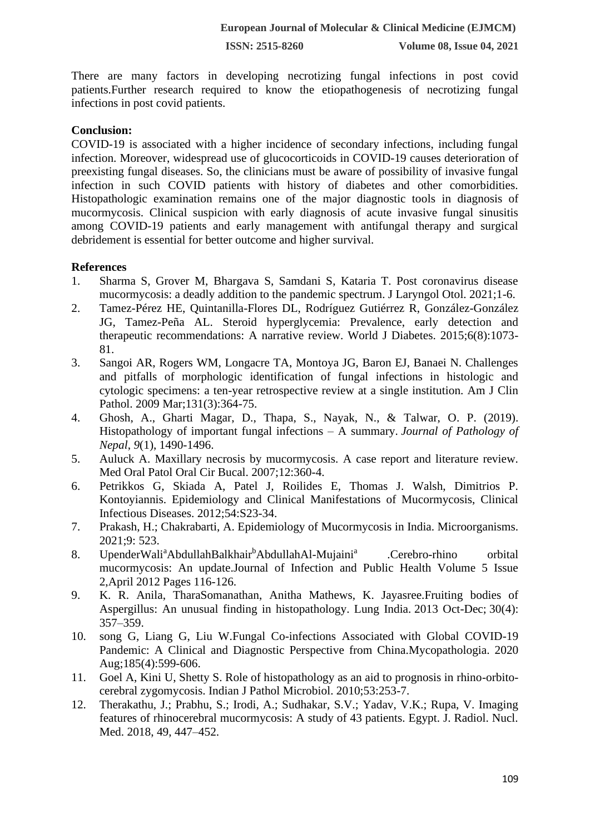There are many factors in developing necrotizing fungal infections in post covid patients.Further research required to know the etiopathogenesis of necrotizing fungal infections in post covid patients.

## **Conclusion:**

COVID-19 is associated with a higher incidence of secondary infections, including fungal infection. Moreover, widespread use of glucocorticoids in COVID-19 causes deterioration of preexisting fungal diseases. So, the clinicians must be aware of possibility of invasive fungal infection in such COVID patients with history of diabetes and other comorbidities. Histopathologic examination remains one of the major diagnostic tools in diagnosis of mucormycosis. Clinical suspicion with early diagnosis of acute invasive fungal sinusitis among COVID-19 patients and early management with antifungal therapy and surgical debridement is essential for better outcome and higher survival.

### **References**

- 1. Sharma S, Grover M, Bhargava S, Samdani S, Kataria T. Post coronavirus disease mucormycosis: a deadly addition to the pandemic spectrum. J Laryngol Otol. 2021;1-6.
- 2. Tamez-Pérez HE, Quintanilla-Flores DL, Rodríguez Gutiérrez R, González-González JG, Tamez-Peña AL. Steroid hyperglycemia: Prevalence, early detection and therapeutic recommendations: A narrative review. World J Diabetes. 2015;6(8):1073- 81.
- 3. Sangoi AR, Rogers WM, Longacre TA, Montoya JG, Baron EJ, Banaei N. Challenges and pitfalls of morphologic identification of fungal infections in histologic and cytologic specimens: a ten-year retrospective review at a single institution. Am J Clin Pathol. 2009 Mar;131(3):364-75.
- 4. Ghosh, A., Gharti Magar, D., Thapa, S., Nayak, N., & Talwar, O. P. (2019). Histopathology of important fungal infections – A summary. *Journal of Pathology of Nepal*, *9*(1), 1490-1496.
- 5. Auluck A. Maxillary necrosis by mucormycosis. A case report and literature review. Med Oral Patol Oral Cir Bucal. 2007;12:360-4.
- 6. Petrikkos G, Skiada A, Patel J, Roilides E, Thomas J. Walsh, Dimitrios P. Kontoyiannis. Epidemiology and Clinical Manifestations of Mucormycosis, Clinical Infectious Diseases. 2012;54:S23-34.
- 7. Prakash, H.; Chakrabarti, A. Epidemiology of Mucormycosis in India. Microorganisms. 2021;9: 523.
- 8. [UpenderWali](https://www.sciencedirect.com/science/article/pii/S1876034112000238)<sup>a</sup>[AbdullahBalkhair](https://www.sciencedirect.com/science/article/pii/S1876034112000238#!)<sup>[b](https://www.sciencedirect.com/science/article/pii/S1876034112000238)</sup>[AbdullahAl-Mujaini](https://www.sciencedirect.com/science/article/pii/S1876034112000238#!)<sup>[a](https://www.sciencedirect.com/science/article/pii/S1876034112000238)</sup> .Cerebro-rhino orbital mucormycosis: An update.Journal of Infection and Public Health Volume 5 Issue 2,April 2012 Pages 116-126.
- 9. K. R. Anila, TharaSomanathan, Anitha Mathews, K. Jayasree.Fruiting bodies of Aspergillus: An unusual finding in histopathology. Lung India. 2013 Oct-Dec; 30(4): 357–359.
- 10. song G, Liang G, Liu W.Fungal Co-infections Associated with Global COVID-19 Pandemic: A Clinical and Diagnostic Perspective from China.Mycopathologia. 2020 Aug;185(4):599-606.
- 11. Goel A, Kini U, Shetty S. Role of histopathology as an aid to prognosis in rhino-orbitocerebral zygomycosis. Indian J Pathol Microbiol. 2010;53:253-7.
- 12. Therakathu, J.; Prabhu, S.; Irodi, A.; Sudhakar, S.V.; Yadav, V.K.; Rupa, V. Imaging features of rhinocerebral mucormycosis: A study of 43 patients. Egypt. J. Radiol. Nucl. Med. 2018, 49, 447–452.